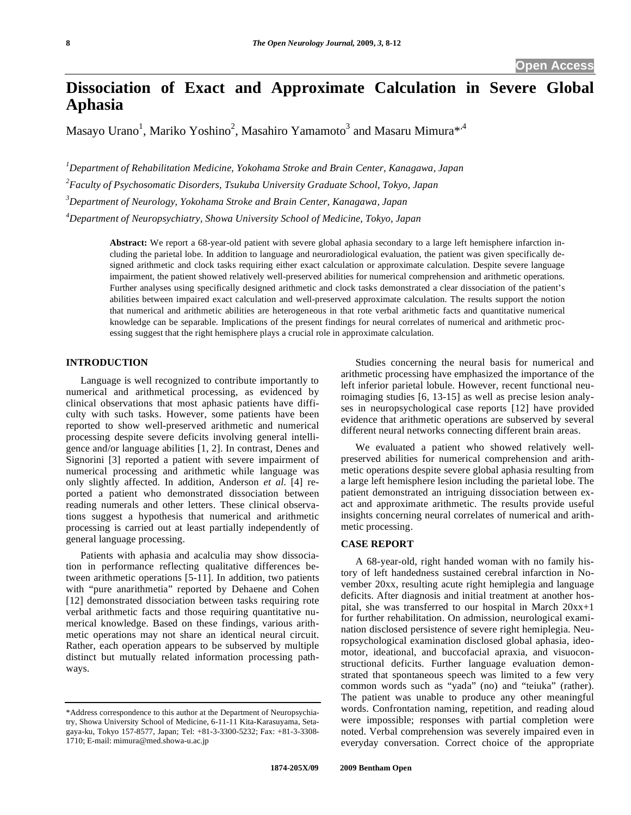# **Dissociation of Exact and Approximate Calculation in Severe Global Aphasia**

Masayo Urano<sup>1</sup>, Mariko Yoshino<sup>2</sup>, Masahiro Yamamoto<sup>3</sup> and Masaru Mimura $^{*,4}$ 

*1 Department of Rehabilitation Medicine, Yokohama Stroke and Brain Center, Kanagawa, Japan* 

*2 Faculty of Psychosomatic Disorders, Tsukuba University Graduate School, Tokyo, Japan* 

*3 Department of Neurology, Yokohama Stroke and Brain Center, Kanagawa, Japan* 

*4 Department of Neuropsychiatry, Showa University School of Medicine, Tokyo, Japan* 

**Abstract:** We report a 68-year-old patient with severe global aphasia secondary to a large left hemisphere infarction including the parietal lobe. In addition to language and neuroradiological evaluation, the patient was given specifically designed arithmetic and clock tasks requiring either exact calculation or approximate calculation. Despite severe language impairment, the patient showed relatively well-preserved abilities for numerical comprehension and arithmetic operations. Further analyses using specifically designed arithmetic and clock tasks demonstrated a clear dissociation of the patient's abilities between impaired exact calculation and well-preserved approximate calculation. The results support the notion that numerical and arithmetic abilities are heterogeneous in that rote verbal arithmetic facts and quantitative numerical knowledge can be separable. Implications of the present findings for neural correlates of numerical and arithmetic processing suggest that the right hemisphere plays a crucial role in approximate calculation.

# **INTRODUCTION**

 Language is well recognized to contribute importantly to numerical and arithmetical processing, as evidenced by clinical observations that most aphasic patients have difficulty with such tasks. However, some patients have been reported to show well-preserved arithmetic and numerical processing despite severe deficits involving general intelligence and/or language abilities [1, 2]. In contrast, Denes and Signorini [3] reported a patient with severe impairment of numerical processing and arithmetic while language was only slightly affected. In addition, Anderson *et al*. [4] reported a patient who demonstrated dissociation between reading numerals and other letters. These clinical observations suggest a hypothesis that numerical and arithmetic processing is carried out at least partially independently of general language processing.

 Patients with aphasia and acalculia may show dissociation in performance reflecting qualitative differences between arithmetic operations [5-11]. In addition, two patients with "pure anarithmetia" reported by Dehaene and Cohen [12] demonstrated dissociation between tasks requiring rote verbal arithmetic facts and those requiring quantitative numerical knowledge. Based on these findings, various arithmetic operations may not share an identical neural circuit. Rather, each operation appears to be subserved by multiple distinct but mutually related information processing pathways.

 Studies concerning the neural basis for numerical and arithmetic processing have emphasized the importance of the left inferior parietal lobule. However, recent functional neuroimaging studies [6, 13-15] as well as precise lesion analyses in neuropsychological case reports [12] have provided evidence that arithmetic operations are subserved by several different neural networks connecting different brain areas.

 We evaluated a patient who showed relatively wellpreserved abilities for numerical comprehension and arithmetic operations despite severe global aphasia resulting from a large left hemisphere lesion including the parietal lobe. The patient demonstrated an intriguing dissociation between exact and approximate arithmetic. The results provide useful insights concerning neural correlates of numerical and arithmetic processing.

# **CASE REPORT**

 A 68-year-old, right handed woman with no family history of left handedness sustained cerebral infarction in November 20xx, resulting acute right hemiplegia and language deficits. After diagnosis and initial treatment at another hospital, she was transferred to our hospital in March 20xx+1 for further rehabilitation. On admission, neurological examination disclosed persistence of severe right hemiplegia. Neuropsychological examination disclosed global aphasia, ideomotor, ideational, and buccofacial apraxia, and visuoconstructional deficits. Further language evaluation demonstrated that spontaneous speech was limited to a few very common words such as "yada" (no) and "teiuka" (rather). The patient was unable to produce any other meaningful words. Confrontation naming, repetition, and reading aloud were impossible; responses with partial completion were noted. Verbal comprehension was severely impaired even in everyday conversation. Correct choice of the appropriate

<sup>\*</sup>Address correspondence to this author at the Department of Neuropsychiatry, Showa University School of Medicine, 6-11-11 Kita-Karasuyama, Setagaya-ku, Tokyo 157-8577, Japan; Tel: +81-3-3300-5232; Fax: +81-3-3308- 1710; E-mail: mimura@med.showa-u.ac.jp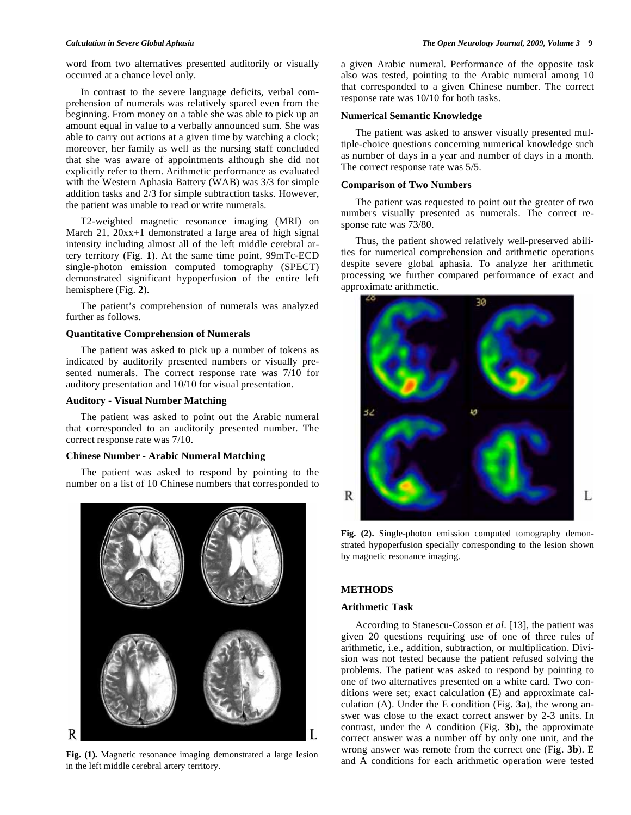word from two alternatives presented auditorily or visually occurred at a chance level only.

 In contrast to the severe language deficits, verbal comprehension of numerals was relatively spared even from the beginning. From money on a table she was able to pick up an amount equal in value to a verbally announced sum. She was able to carry out actions at a given time by watching a clock; moreover, her family as well as the nursing staff concluded that she was aware of appointments although she did not explicitly refer to them. Arithmetic performance as evaluated with the Western Aphasia Battery (WAB) was 3/3 for simple addition tasks and 2/3 for simple subtraction tasks. However, the patient was unable to read or write numerals.

 T2-weighted magnetic resonance imaging (MRI) on March 21, 20xx+1 demonstrated a large area of high signal intensity including almost all of the left middle cerebral artery territory (Fig. **1**). At the same time point, 99mTc-ECD single-photon emission computed tomography (SPECT) demonstrated significant hypoperfusion of the entire left hemisphere (Fig. **2**).

 The patient's comprehension of numerals was analyzed further as follows.

#### **Quantitative Comprehension of Numerals**

 The patient was asked to pick up a number of tokens as indicated by auditorily presented numbers or visually presented numerals. The correct response rate was 7/10 for auditory presentation and 10/10 for visual presentation.

# **Auditory - Visual Number Matching**

 The patient was asked to point out the Arabic numeral that corresponded to an auditorily presented number. The correct response rate was 7/10.

#### **Chinese Number - Arabic Numeral Matching**

 The patient was asked to respond by pointing to the number on a list of 10 Chinese numbers that corresponded to



in the left middle cerebral artery territory.

a given Arabic numeral. Performance of the opposite task also was tested, pointing to the Arabic numeral among 10 that corresponded to a given Chinese number. The correct response rate was 10/10 for both tasks.

#### **Numerical Semantic Knowledge**

 The patient was asked to answer visually presented multiple-choice questions concerning numerical knowledge such as number of days in a year and number of days in a month. The correct response rate was 5/5.

# **Comparison of Two Numbers**

 The patient was requested to point out the greater of two numbers visually presented as numerals. The correct response rate was 73/80.

 Thus, the patient showed relatively well-preserved abilities for numerical comprehension and arithmetic operations despite severe global aphasia. To analyze her arithmetic processing we further compared performance of exact and approximate arithmetic.



Fig. (2). Single-photon emission computed tomography demonstrated hypoperfusion specially corresponding to the lesion shown by magnetic resonance imaging.

# **METHODS**

# **Arithmetic Task**

 According to Stanescu-Cosson *et al*. [13], the patient was given 20 questions requiring use of one of three rules of arithmetic, i.e., addition, subtraction, or multiplication. Division was not tested because the patient refused solving the problems. The patient was asked to respond by pointing to one of two alternatives presented on a white card. Two conditions were set; exact calculation (E) and approximate calculation (A). Under the E condition (Fig. **3a**), the wrong answer was close to the exact correct answer by 2-3 units. In contrast, under the A condition (Fig. **3b**), the approximate correct answer was a number off by only one unit, and the wrong answer was remote from the correct one (Fig. **3b**). E Fig. (1). Magnetic resonance imaging demonstrated a large lesion and A conditions for each arithmetic operation were tested and A conditions for each arithmetic operation were tested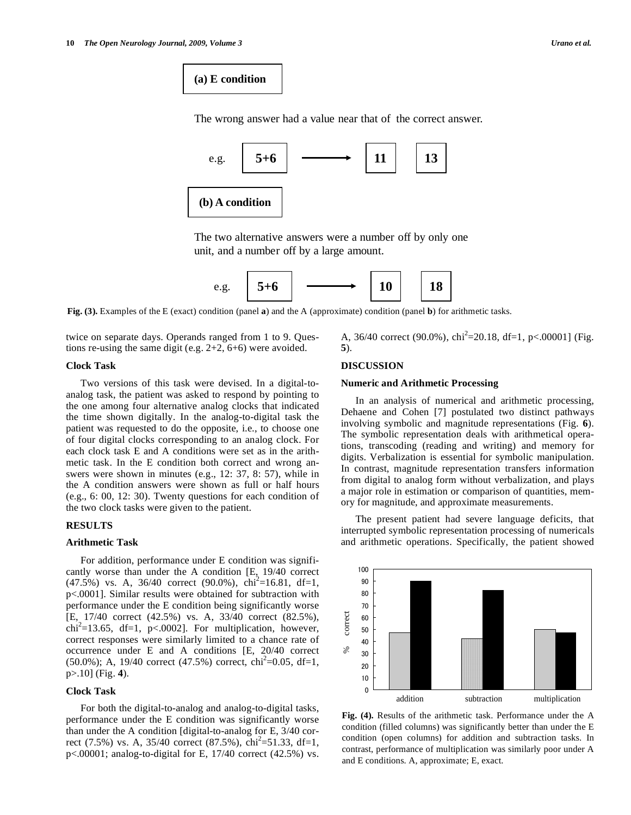# **(a) E condition**

The wrong answer had a value near that of the correct answer.



The two alternative answers were a number off by only one unit, and a number off by a large amount.



**Fig. (3).** Examples of the E (exact) condition (panel **a**) and the A (approximate) condition (panel **b**) for arithmetic tasks.

twice on separate days. Operands ranged from 1 to 9. Questions re-using the same digit (e.g. 2+2, 6+6) were avoided.

#### **Clock Task**

 Two versions of this task were devised. In a digital-toanalog task, the patient was asked to respond by pointing to the one among four alternative analog clocks that indicated the time shown digitally. In the analog-to-digital task the patient was requested to do the opposite, i.e., to choose one of four digital clocks corresponding to an analog clock. For each clock task E and A conditions were set as in the arithmetic task. In the E condition both correct and wrong answers were shown in minutes (e.g., 12: 37, 8: 57), while in the A condition answers were shown as full or half hours (e.g., 6: 00, 12: 30). Twenty questions for each condition of the two clock tasks were given to the patient.

# **RESULTS**

# **Arithmetic Task**

 For addition, performance under E condition was significantly worse than under the A condition [E, 19/40 correct  $(47.5\%)$  vs. A, 36/40 correct (90.0%), chi<sup>2</sup>=16.81, df=1, p<.0001]. Similar results were obtained for subtraction with performance under the E condition being significantly worse [E, 17/40 correct (42.5%) vs. A, 33/40 correct (82.5%),  $\chi$ chi<sup>2</sup>=13.65, df=1, p<.0002]. For multiplication, however, correct responses were similarly limited to a chance rate of occurrence under E and A conditions [E, 20/40 correct  $(50.0\%)$ ; A, 19/40 correct  $(47.5\%)$  correct, chi<sup>2</sup>=0.05, df=1, p>.10] (Fig. **4**).

# **Clock Task**

 For both the digital-to-analog and analog-to-digital tasks, performance under the E condition was significantly worse than under the A condition [digital-to-analog for E, 3/40 correct (7.5%) vs. A, 35/40 correct (87.5%),  $\text{chi}^2$ =51.33, df=1, p<.00001; analog-to-digital for E, 17/40 correct (42.5%) vs.

A, 36/40 correct (90.0%),  $\text{chi}^2$ =20.18, df=1, p<.00001] (Fig. **5**).

# **DISCUSSION**

# **Numeric and Arithmetic Processing**

 In an analysis of numerical and arithmetic processing, Dehaene and Cohen [7] postulated two distinct pathways involving symbolic and magnitude representations (Fig. **6**). The symbolic representation deals with arithmetical operations, transcoding (reading and writing) and memory for digits. Verbalization is essential for symbolic manipulation. In contrast, magnitude representation transfers information from digital to analog form without verbalization, and plays a major role in estimation or comparison of quantities, memory for magnitude, and approximate measurements.

 The present patient had severe language deficits, that interrupted symbolic representation processing of numericals and arithmetic operations. Specifically, the patient showed



**Fig. (4).** Results of the arithmetic task. Performance under the A condition (filled columns) was significantly better than under the E condition (open columns) for addition and subtraction tasks. In contrast, performance of multiplication was similarly poor under A and E conditions. A, approximate; E, exact.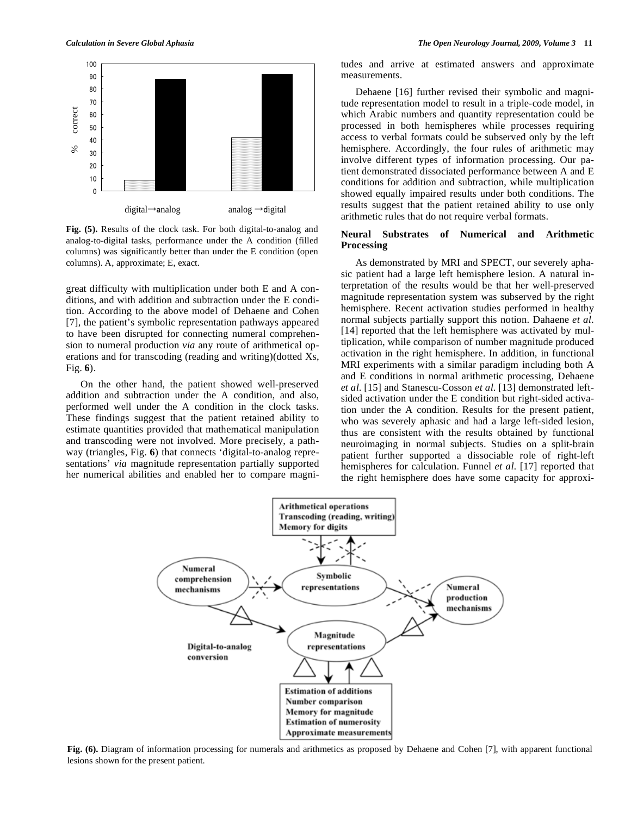

**Fig. (5).** Results of the clock task. For both digital-to-analog and analog-to-digital tasks, performance under the A condition (filled columns) was significantly better than under the E condition (open columns). A, approximate; E, exact.

great difficulty with multiplication under both E and A conditions, and with addition and subtraction under the E condition. According to the above model of Dehaene and Cohen [7], the patient's symbolic representation pathways appeared to have been disrupted for connecting numeral comprehension to numeral production *via* any route of arithmetical operations and for transcoding (reading and writing)(dotted Xs, Fig. **6**).

 On the other hand, the patient showed well-preserved addition and subtraction under the A condition, and also, performed well under the A condition in the clock tasks. These findings suggest that the patient retained ability to estimate quantities provided that mathematical manipulation and transcoding were not involved. More precisely, a pathway (triangles, Fig. **6**) that connects 'digital-to-analog representations' *via* magnitude representation partially supported her numerical abilities and enabled her to compare magnitudes and arrive at estimated answers and approximate measurements.

 Dehaene [16] further revised their symbolic and magnitude representation model to result in a triple-code model, in which Arabic numbers and quantity representation could be processed in both hemispheres while processes requiring access to verbal formats could be subserved only by the left hemisphere. Accordingly, the four rules of arithmetic may involve different types of information processing. Our patient demonstrated dissociated performance between A and E conditions for addition and subtraction, while multiplication showed equally impaired results under both conditions. The results suggest that the patient retained ability to use only arithmetic rules that do not require verbal formats.

# **Neural Substrates of Numerical and Arithmetic Processing**

 As demonstrated by MRI and SPECT, our severely aphasic patient had a large left hemisphere lesion. A natural interpretation of the results would be that her well-preserved magnitude representation system was subserved by the right hemisphere. Recent activation studies performed in healthy normal subjects partially support this notion. Dahaene *et al*. [14] reported that the left hemisphere was activated by multiplication, while comparison of number magnitude produced activation in the right hemisphere. In addition, in functional MRI experiments with a similar paradigm including both A and E conditions in normal arithmetic processing, Dehaene *et al*. [15] and Stanescu-Cosson *et al*. [13] demonstrated leftsided activation under the E condition but right-sided activation under the A condition. Results for the present patient, who was severely aphasic and had a large left-sided lesion, thus are consistent with the results obtained by functional neuroimaging in normal subjects. Studies on a split-brain patient further supported a dissociable role of right-left hemispheres for calculation. Funnel *et al*. [17] reported that the right hemisphere does have some capacity for approxi-



**Fig. (6).** Diagram of information processing for numerals and arithmetics as proposed by Dehaene and Cohen [7], with apparent functional lesions shown for the present patient.